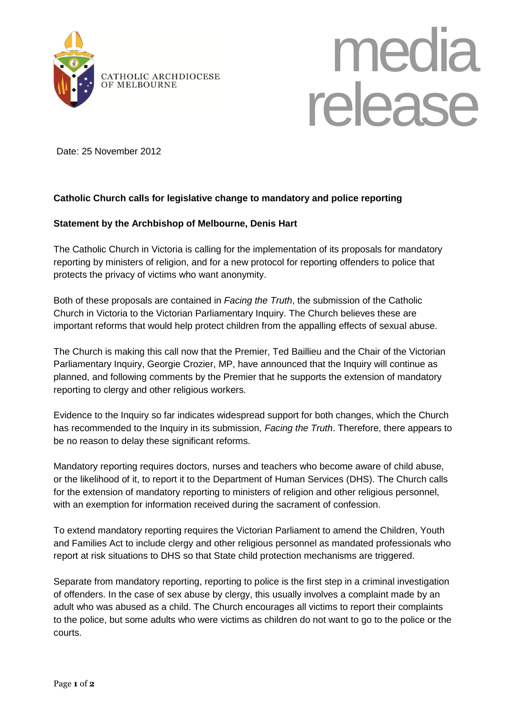



Date: 25 November 2012

## **Catholic Church calls for legislative change to mandatory and police reporting**

## **Statement by the Archbishop of Melbourne, Denis Hart**

The Catholic Church in Victoria is calling for the implementation of its proposals for mandatory reporting by ministers of religion, and for a new protocol for reporting offenders to police that protects the privacy of victims who want anonymity.

Both of these proposals are contained in *Facing the Truth*, the submission of the Catholic Church in Victoria to the Victorian Parliamentary Inquiry. The Church believes these are important reforms that would help protect children from the appalling effects of sexual abuse.

The Church is making this call now that the Premier, Ted Baillieu and the Chair of the Victorian Parliamentary Inquiry, Georgie Crozier, MP, have announced that the Inquiry will continue as planned, and following comments by the Premier that he supports the extension of mandatory reporting to clergy and other religious workers.

Evidence to the Inquiry so far indicates widespread support for both changes, which the Church has recommended to the Inquiry in its submission, *Facing the Truth*. Therefore, there appears to be no reason to delay these significant reforms.

Mandatory reporting requires doctors, nurses and teachers who become aware of child abuse, or the likelihood of it, to report it to the Department of Human Services (DHS). The Church calls for the extension of mandatory reporting to ministers of religion and other religious personnel, with an exemption for information received during the sacrament of confession.

To extend mandatory reporting requires the Victorian Parliament to amend the Children, Youth and Families Act to include clergy and other religious personnel as mandated professionals who report at risk situations to DHS so that State child protection mechanisms are triggered.

Separate from mandatory reporting, reporting to police is the first step in a criminal investigation of offenders. In the case of sex abuse by clergy, this usually involves a complaint made by an adult who was abused as a child. The Church encourages all victims to report their complaints to the police, but some adults who were victims as children do not want to go to the police or the courts.